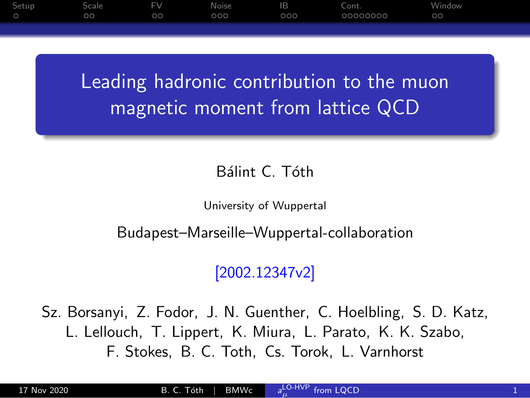<span id="page-0-0"></span>

Leading hadronic contribution to the muon magnetic moment from lattice QCD

#### Bálint C. Tóth

University of Wuppertal

Budapest–Marseille–Wuppertal-collaboration

### [2002.12347v2]

Sz. Borsanyi, Z. Fodor, J. N. Guenther, C. Hoelbling, S. D. Katz, L. Lellouch, T. Lippert, K. Miura, L. Parato, K. K. Szabo, F. Stokes, B. C. Toth, Cs. Torok, L. Varnhorst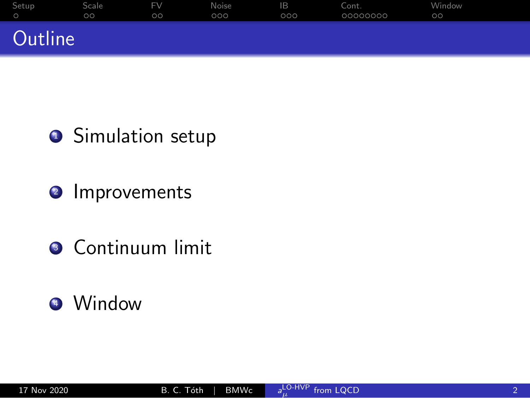| Setup <sub></sub> | <b>Scale</b> | <b>FV</b> | Noise | IΒ  | Cont.    | Window  |
|-------------------|--------------|-----------|-------|-----|----------|---------|
|                   | $\circ$      | $\circ$   | 000   | 000 | 00000000 | $\circ$ |
| Outline           |              |           |       |     |          |         |

## **•** Simulation setup

- <sup>2</sup> Improvements
- **3** Continuum limit

## <sup>4</sup> Window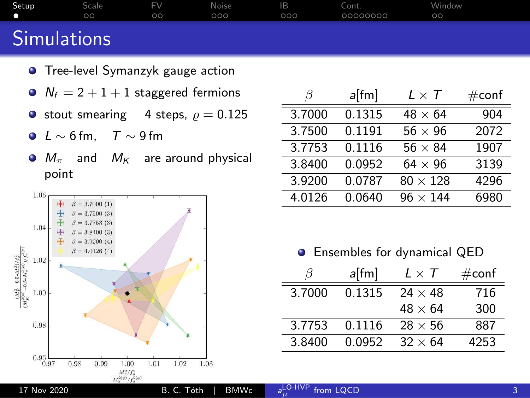<span id="page-2-0"></span>

| Setup              | Scale   | EV | Noise | IB  | Cont.    | Window  |
|--------------------|---------|----|-------|-----|----------|---------|
| - 0                | $\circ$ | ററ | 000   | 000 | 00000000 | $\circ$ |
| <b>Simulations</b> |         |    |       |     |          |         |

- **•** Tree-level Symanzyk gauge action
- $N_f = 2 + 1 + 1$  staggered fermions
- stout smearing 4 steps,  $\rho = 0.125$
- $\bullet$  L ~ 6 fm, T ~ 9 fm
- $\bullet$   $M_{\pi}$  and  $M_{K}$  are around physical point



|        | a[fm]  | $L \times \mathcal{T}$ | $\#\textsf{conf}$ |
|--------|--------|------------------------|-------------------|
| 3.7000 | 0.1315 | $48 \times 64$         | 904               |
| 3.7500 | 0.1191 | $56 \times 96$         | 2072              |
| 3.7753 | 0.1116 | $56 \times 84$         | 1907              |
| 3.8400 | 0.0952 | $64 \times 96$         | 3139              |
| 3.9200 | 0.0787 | $80 \times 128$        | 4296              |
| 4.0126 | 0.0640 | $96 \times 144$        | 6980              |

 $\bullet$ Ensembles for dynamical QED

|        | $a$ [fm] | $L \times T$    | $\#\textsf{conf}$ |
|--------|----------|-----------------|-------------------|
| 3.7000 | 0.1315   | $24 \times 48$  | 716               |
|        |          | $48 \times 64$  | 300               |
| 3.7753 | 0.1116   | $28 \times 56$  | 887               |
| 3.8400 | 0.0952   | $.32 \times 64$ | 4253              |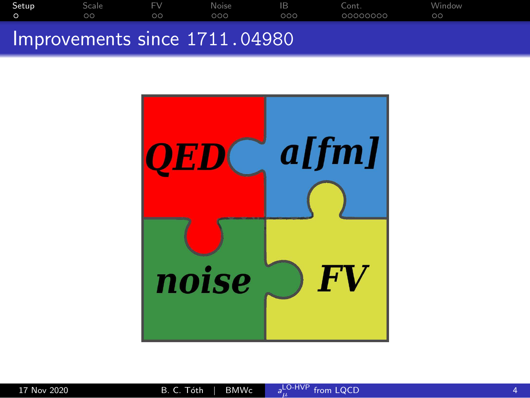|       |         |         | $\mathcal{L}^{\text{max}}_{\text{max}}$ and $\mathcal{L}^{\text{max}}_{\text{max}}$ and $\mathcal{L}^{\text{max}}_{\text{max}}$ and $\mathcal{L}^{\text{max}}_{\text{max}}$ |     |          |           |  |
|-------|---------|---------|-----------------------------------------------------------------------------------------------------------------------------------------------------------------------------|-----|----------|-----------|--|
|       | $\circ$ | $\circ$ | 000                                                                                                                                                                         | 000 | 00000000 | $\circ$ c |  |
| Setup | Scale   | EV      | Noise                                                                                                                                                                       | IB  | Cont.    | Window    |  |

### Improvements since 1711.04980

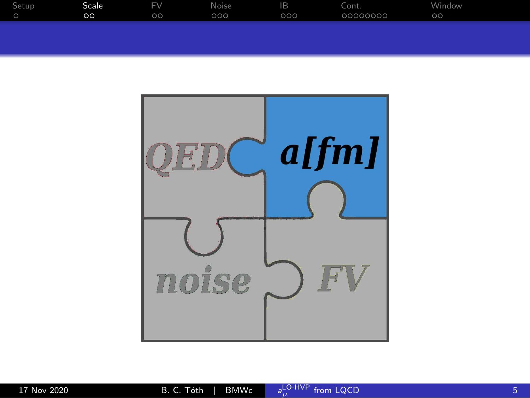<span id="page-4-0"></span>

| Setup | Scale     | <b>FV</b> | Noise | IB  | Cont.    | Window  |  |
|-------|-----------|-----------|-------|-----|----------|---------|--|
|       | $\circ$ c | $\circ$   | 000   | 000 | 00000000 | $\circ$ |  |
|       |           |           |       |     |          |         |  |

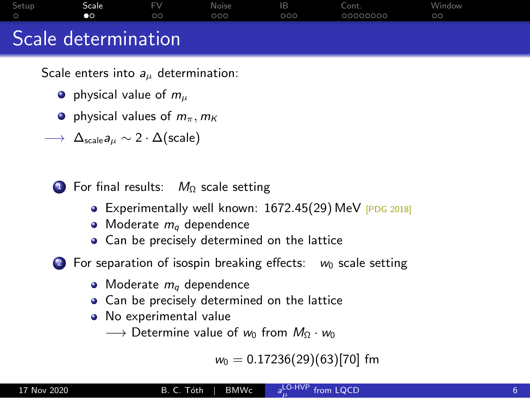|       | Coola datarmination |                              |                     |             |                   |                   |  |
|-------|---------------------|------------------------------|---------------------|-------------|-------------------|-------------------|--|
| Setup | Scale<br>$\bullet$  | <b>FV</b><br>00 <sup>o</sup> | <b>Noise</b><br>000 | - IB<br>000 | Cont.<br>00000000 | Window<br>$\circ$ |  |

### Scale determination

Scale enters into  $a_{\mu}$  determination:

- $\bullet$  physical value of  $m_{\mu}$
- **P** physical values of  $m_\pi$ ,  $m_K$

 $\longrightarrow \Delta_{\text{scale}} a_{\mu} \sim 2 \cdot \Delta(\text{scale})$ 

 $\bigcirc$  For final results:  $M_{\Omega}$  scale setting

- Experimentally well known: 1672.45(29) MeV [PDG 2018]
- $\bullet$  Moderate  $m_q$  dependence
- Can be precisely determined on the lattice

2 For separation of isospin breaking effects:  $w_0$  scale setting

- $\bullet$  Moderate  $m_q$  dependence
- Can be precisely determined on the lattice
- No experimental value
	- $\longrightarrow$  Determine value of w<sub>0</sub> from  $M_{\Omega} \cdot w_0$

 $w_0 = 0.17236(29)(63)[70]$  fm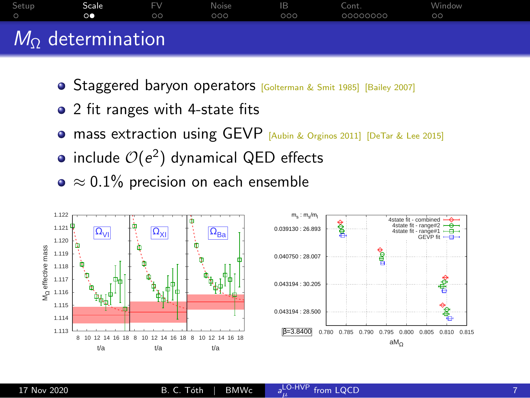

- **Staggered baryon operators [Golterman & Smit 1985] [Bailey 2007]**
- 2 fit ranges with 4-state fits
- **.** mass extraction using GEVP [Aubin & Orginos 2011] [DeTar & Lee 2015]
- include  $\mathcal{O}(e^2)$  dynamical QED effects
- $\bullet \approx 0.1\%$  precision on each ensemble

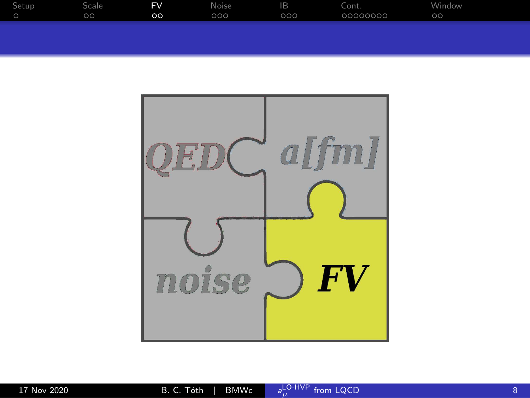<span id="page-7-0"></span>

| Setup | Scale     | <b>FV</b> | Noise | IB  | Cont.    | Window  |
|-------|-----------|-----------|-------|-----|----------|---------|
|       | <b>OO</b> | $\circ$   | .000  | 000 | 00000000 | $\circ$ |
|       |           |           |       |     |          |         |

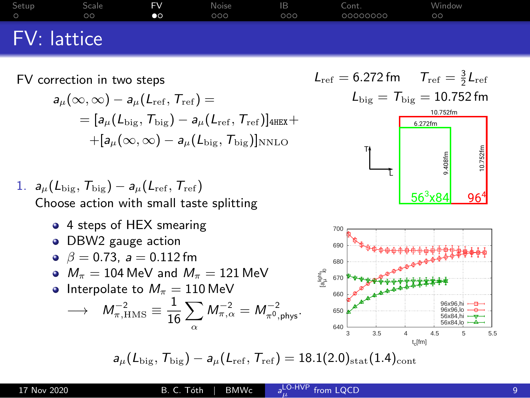| Setup       | Scale   | FV        | Noise | IB Cont. |          | - Window |
|-------------|---------|-----------|-------|----------|----------|----------|
| $\circ$     | $\circ$ | $\bullet$ | 000   | 000      | 00000000 | $\circ$  |
| FV: lattice |         |           |       |          |          |          |

#### FV correction in two steps

$$
\begin{aligned} a_\mu(\infty,\infty) - a_\mu(L_{\text{ref}},T_{\text{ref}}) & = \\ & = [a_\mu(L_{\text{big}},T_{\text{big}}) - a_\mu(L_{\text{ref}},T_{\text{ref}})]_{\text{4HEX}} + \\ & + [a_\mu(\infty,\infty) - a_\mu(L_{\text{big}},T_{\text{big}})]_{\text{NNLO}} \end{aligned}
$$

1. 
$$
a_{\mu}(L_{\text{big}}, T_{\text{big}}) - a_{\mu}(L_{\text{ref}}, T_{\text{ref}})
$$
  
Choose action with small taste splitting

4 steps of HEX smearing

DBW2 gauge action

• 
$$
\beta = 0.73
$$
,  $a = 0.112$  fm

• 
$$
M_{\pi} = 104 \text{ MeV}
$$
 and  $M_{\pi} = 121 \text{ MeV}$ 

• Interpolate to 
$$
M_{\pi} = 110 \text{ MeV}
$$

$$
\longrightarrow \quad M_{\pi,\rm HMS}^{-2} \equiv \frac{1}{16} \sum_{\alpha} M_{\pi,\alpha}^{-2} = M_{\pi^0,\rm phys}^{-2}.
$$

 $L_{\text{ref}} = 6.272 \text{ fm} \qquad T_{\text{ref}} = \frac{3}{2} L_{\text{ref}}$  $L_{\text{big}} = T_{\text{big}} = 10.752$  fm





 $a_{\mu}(L_{\text{big}}, T_{\text{big}}) - a_{\mu}(L_{\text{ref}}, T_{\text{ref}}) = 18.1(2.0)_{\text{stat}}(1.4)_{\text{cont}}$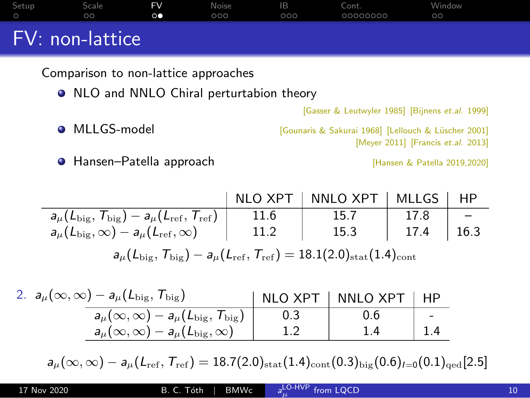| Setup             | Scale   | FV.             | - Noise | - B- | Cont.    | Window  |  |
|-------------------|---------|-----------------|---------|------|----------|---------|--|
|                   | $\circ$ | $\circ \bullet$ | 000     | 000  | 00000000 | $\circ$ |  |
| $FV:$ non-lattice |         |                 |         |      |          |         |  |

Comparison to non-lattice approaches

• NLO and NNLO Chiral perturtabion theory

[Gasser & Leutwyler 1985] [Bijnens et.al. 1999]

● MLLGS-model **bluest and the Community** [Gounaris & Sakurai 1968] [Lellouch & Lüscher 2001]

[Meyer 2011] [Francis et.al. 2013]

**O** Hansen–Patella approach **in the Cause of Contract Contract** [Hansen & Patella 2019,2020]

|                                                                                                                                  |      | NLO XPT   NNLO XPT   MLLGS |               | HP |
|----------------------------------------------------------------------------------------------------------------------------------|------|----------------------------|---------------|----|
| $a_\mu(L_{\rm big},\,{\cal T}_{\rm big}) - a_\mu(L_{\rm ref},\,{\cal T}_{\rm ref})$                                              | 11.6 | 15.7                       | 17.8          |    |
| $a_\mu(L_{\rm big},\infty)-a_\mu(L_{\rm ref},\infty)$                                                                            | 11.2 | 15.3                       | $17.4$   16.3 |    |
| $a_{\mu}(L_{\text{big}}, T_{\text{big}}) - a_{\mu}(L_{\text{ref}}, T_{\text{ref}}) = 18.1(2.0)_{\text{stat}}(1.4)_{\text{cont}}$ |      |                            |               |    |

| 2. $a_\mu(\infty,\infty) - a_\mu(L_{\text{big}}, T_{\text{big}})$               | NLO XPT | NNLO XPT |                          |
|---------------------------------------------------------------------------------|---------|----------|--------------------------|
| $\overline{a_{\mu}(\infty,\infty})-a_{\mu}(L_{\rm big},\,{\cal T}_{\rm big})$ ' |         |          | $\overline{\phantom{a}}$ |
| $\mathsf{a}_{\mu}(\infty,\infty)-\mathsf{a}_{\mu}(L_{\text{big}},\infty)$       |         |          |                          |

 $a_\mu(\infty,\infty) - a_\mu(L_{\rm ref},T_{\rm ref}) = 18.7(2.0)_{\rm stat}(1.4)_{\rm cont}(0.3)_{\rm big}(0.6)_{I=0}(0.1)_{\rm qed}[2.5]$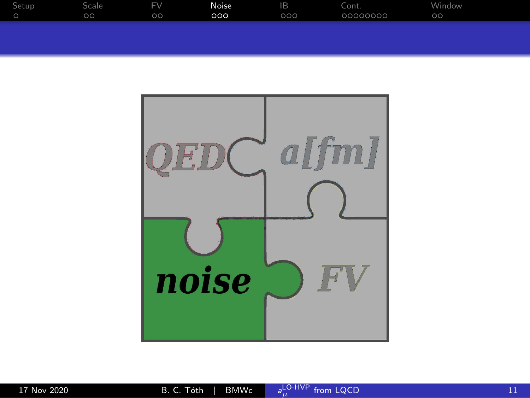<span id="page-10-0"></span>

| Setup | bcale   | <b>FV</b> | Noise | IB  | Cont.    | Window    |
|-------|---------|-----------|-------|-----|----------|-----------|
|       | $\circ$ | $\circ$   | 000   | 000 | 00000000 | $\circ$ c |
|       |         |           |       |     |          |           |

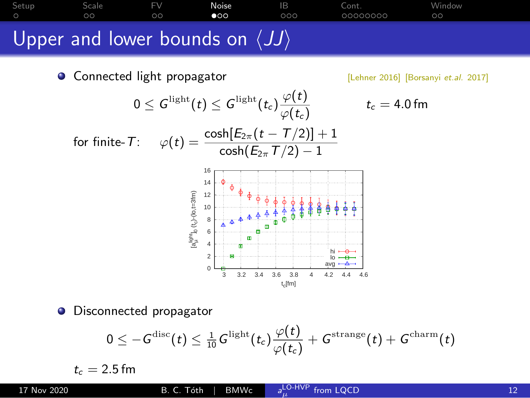[Setup](#page-2-0) [Scale](#page-4-0) [FV](#page-7-0) **[Noise](#page-10-0)** [IB](#page-14-0) [Cont.](#page-18-0) [Window](#page-27-0) Upper and lower bounds on  $\langle JJ \rangle$ 

Connected light propagator [Lehner 2016] [Borsanyi et.al. 2017]

 $t_c = 4.0$  fm

for finite-T:  $\varphi(t) = \frac{\cosh[E_{2\pi}(t-T/2)] + 1}{\cosh(E_{2\pi}T/2) - 1}$ 

 $0\leq \mathcal{G}^{\text{light}}(t)\leq \mathcal{G}^{\text{light}}(t_c) \frac{\varphi(t)}{\varphi(t)}$ 



 $\overline{\varphi(t_\mathsf{c})}$ 

Disconnected propagator  $\bullet$ 

$$
0\leq -G^{\rm disc}(t)\leq \tfrac{1}{10}G^{\rm light}(t_c)\frac{\varphi(t)}{\varphi(t_c)}+G^{\rm strange}(t)+G^{\rm charm}(t)
$$

 $t_c = 2.5$  fm

 $_{\mu}^{\text{{\small LO-HVP}} }$  [from LQCD](#page-0-0) 12 and 12 and 12 and 12 and 12 and 12 and 12 and 12 and 12 and 12 and 12 and 12 and 12 and 12 and 12 and 12 and 12 and 12 and 12 and 12 and 12 and 12 and 12 and 12 and 12 and 12 and 12 and 12 a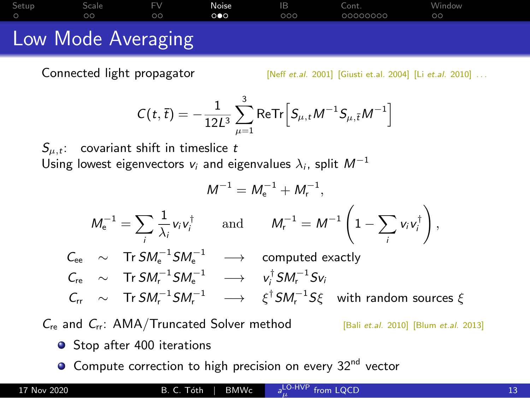[Setup](#page-2-0) [Scale](#page-4-0) [FV](#page-7-0) **[Noise](#page-10-0)** [IB](#page-14-0) [Cont.](#page-18-0) [Window](#page-27-0) Low Mode Averaging

Connected light propagator [Neff et.al. 2001] [Giusti et.al. 2004] [Li et.al. 2010] ...

$$
C(t,\bar{t}) = -\frac{1}{12L^3} \sum_{\mu=1}^{3} \text{ReTr} \Big[ S_{\mu,t} M^{-1} S_{\mu,\bar{t}} M^{-1} \Big]
$$

 $S_{u,t}$ : covariant shift in timeslice t Using lowest eigenvectors  $v_i$  and eigenvalues  $\lambda_i$ , split  $M^{-1}$ 

$$
M^{-1} = M_{e}^{-1} + M_{r}^{-1},
$$
\n
$$
M_{e}^{-1} = \sum_{i} \frac{1}{\lambda_{i}} v_{i} v_{i}^{\dagger} \quad \text{and} \quad M_{r}^{-1} = M^{-1} \left( 1 - \sum_{i} v_{i} v_{i}^{\dagger} \right),
$$
\n
$$
C_{ee} \sim \text{Tr } SM_{e}^{-1} S M_{e}^{-1} \longrightarrow \text{computed exactly}
$$
\n
$$
C_{re} \sim \text{Tr } SM_{r}^{-1} S M_{e}^{-1} \longrightarrow v_{i}^{\dagger} S M_{r}^{-1} S v_{i}
$$
\n
$$
C_{rr} \sim \text{Tr } SM_{r}^{-1} S M_{r}^{-1} \longrightarrow \xi^{\dagger} S M_{r}^{-1} S \xi \text{ with random sources } \xi
$$

 $C_{\text{re}}$  and  $C_{\text{rr}}$ : AMA/Truncated Solver method [Bali et.al. 2010] [Blum et.al. 2013]

- Stop after 400 iterations
- **O** Compute correction to high precision on every 32<sup>nd</sup> vector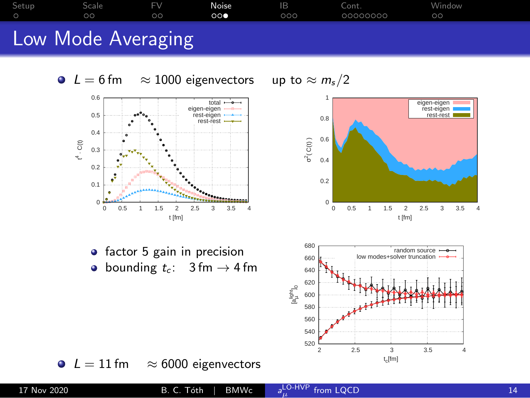







2 2.5 3 3.5 4

t<sub>c</sub>[fm]



bounding  $t_c$ : 3 fm  $\rightarrow$  4 fm  $\bullet$ 

 $L = 11$  fm  $\approx 6000$  eigenvectors

 520 540 560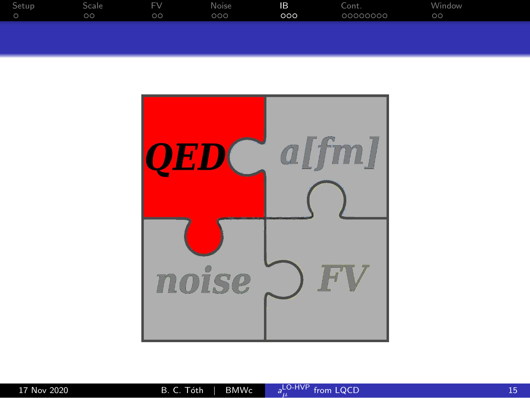<span id="page-14-0"></span>

| Setup | bcale   | F١      | Noise | IB  | Lont.    | Window    |
|-------|---------|---------|-------|-----|----------|-----------|
|       | $\circ$ | $\circ$ | DOO   | 000 | 00000000 | $\circ$ c |
|       |         |         |       |     |          |           |

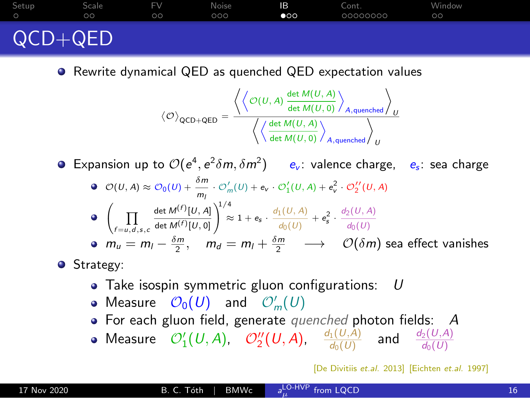# QCD+QED

● Rewrite dynamical QED as quenched QED expectation values

[Setup](#page-2-0) [Scale](#page-4-0) [FV](#page-7-0) [Noise](#page-10-0) **[IB](#page-14-0)** [Cont.](#page-18-0) [Window](#page-27-0)

$$
\left\langle \mathcal{O}\right\rangle_{\text{QCD+QED}}=\frac{\left\langle \left\langle \mathcal{O}(U,A)\frac{\det M(U,A)}{\det M(U,0)} \right\rangle_{A,\text{quenched}} \right\rangle_{U}}{\left\langle \left\langle \frac{\det M(U,A)}{\det M(U,0)} \right\rangle_{A,\text{quenched}} \right\rangle_{U}}
$$

Expansion up to  $\mathcal{O}(e^4, e^2 \delta m, \delta m^2)$  e<sub>v</sub>: valence charge, e<sub>s</sub>: sea charge

\n- \n
$$
\mathcal{O}(U, A) \approx \mathcal{O}_0(U) + \frac{\delta m}{m_l} \cdot \mathcal{O}'_m(U) + \mathbf{e}_v \cdot \mathcal{O}'_1(U, A) + \mathbf{e}_v^2 \cdot \mathcal{O}'_2(U, A)
$$
\n
\n- \n
$$
\mathcal{O}\left(\prod_{f=u,d,s,c} \frac{\det M^{(f)}[U, A]}{\det M^{(f)}[U, 0]} \right)^{1/4} \approx 1 + \mathbf{e}_s \cdot \frac{d_1(U, A)}{d_0(U)} + \mathbf{e}_s^2 \cdot \frac{d_2(U, A)}{d_0(U)}
$$
\n
\n- \n
$$
m_u = m_l - \frac{\delta m}{2}, \quad m_d = m_l + \frac{\delta m}{2} \quad \longrightarrow \quad \mathcal{O}(\delta m)
$$
 sea effect vanishes\n
\n

**•** Strategy:

- $\bullet$  Take isospin symmetric gluon configurations:  $U$
- Measure  $\mathcal{O}_0(U)$  and  $\mathcal{O}'_m(U)$
- For each gluon field, generate *quenched* photon fields: A
- Measure  $\mathcal{O}'_1(U,A)$ ,  $\mathcal{O}''_2(U,A)$ ,  $\frac{d_1(U,A)}{d_0(U)}$  and  $\frac{d_2(U,A)}{d_0(U)}$

[De Divitiis et.al. 2013] [Eichten et.al. 1997]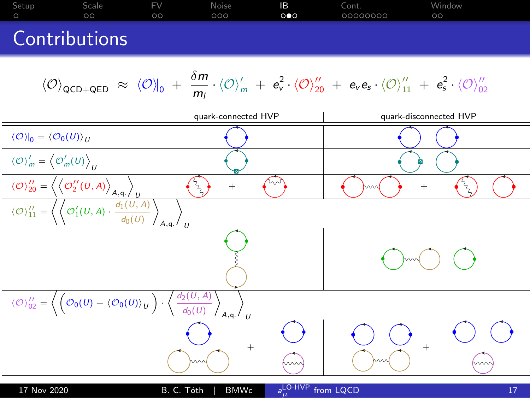

$$
\langle \mathcal{O} \rangle_{02}'' = \left\langle \left( \mathcal{O}_0(U) - \langle \mathcal{O}_0(U) \rangle_U \right) \cdot \left\langle \frac{d_2(U, A)}{d_0(U)} \right\rangle_{A, q} \right\rangle_U
$$

 $_{\mu}^{\text{LO-HVP}}$  [from LQCD](#page-0-0) 17 and 17 and 17 and 17 and 17 and 17 and 17 and 17 and 17 and 17 and 17 and 17 and 17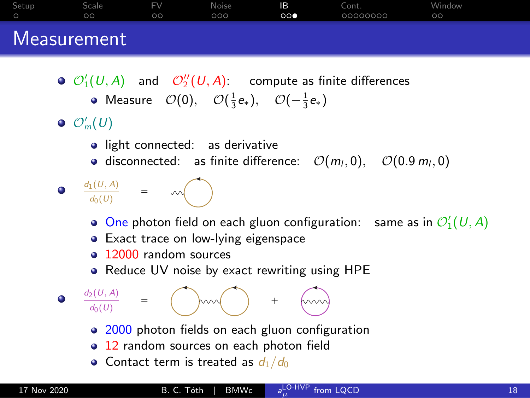| Setup | Scale<br>ΩO | <b>FV</b><br>ററ | Noise<br>000 | IB.<br>$\circ \bullet$ | Cont.<br>00000000 | Window<br>oc |  |
|-------|-------------|-----------------|--------------|------------------------|-------------------|--------------|--|
|       | Measurement |                 |              |                        |                   |              |  |

- $\mathcal{O}'_1(\mathit{U},\mathit{A})$  and  $\mathcal{O}''_2(\mathit{U},\mathit{A})$ : compute as finite differences
	- Measure  $\mathcal{O}(0)$ ,  $\mathcal{O}(\frac{1}{3}e_*)$ ,  $\mathcal{O}(-\frac{1}{3}e_*)$
- $\mathcal{O}'_m(U)$ 
	- light connected: as derivative
	- disconnected: as finite difference:  $\mathcal{O}(m_l, 0)$ ,  $\mathcal{O}(0.9 m_l, 0)$
	- $d_1(U, A)$  $\frac{d_0(U)}{d_0(U)}$  =
		- One photon field on each gluon configuration: same as in  $\mathcal{O}'_1(\mathcal{U},\mathcal{A})$
		- Exact trace on low-lying eigenspace
		- <sup>9</sup> 12000 random sources
		- Reduce UV noise by exact rewriting using HPE



- 2000 photon fields on each gluon configuration
- 12 random sources on each photon field
- Contact term is treated as  $d_1/d_0$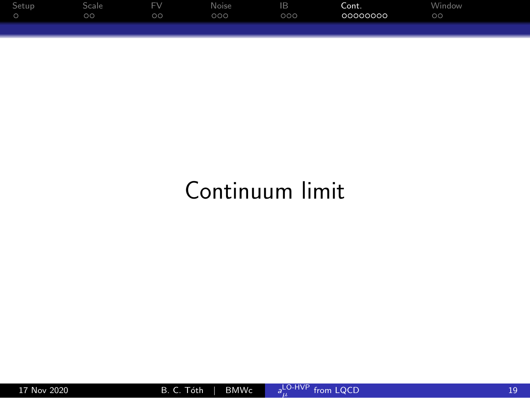<span id="page-18-0"></span>

| Setup | Scale   | <b>FV</b> | Noise | IB  | Cont.    | Window  |
|-------|---------|-----------|-------|-----|----------|---------|
|       | $\circ$ | $\circ$   | 000   | 000 | 00000000 | $\circ$ |
|       |         |           |       |     |          |         |

# Continuum limit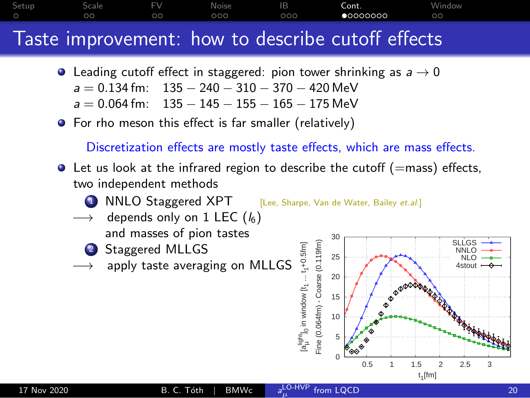## [Setup](#page-2-0) [Scale](#page-4-0) [FV](#page-7-0) [Noise](#page-10-0) [IB](#page-14-0) [Cont.](#page-18-0) [Window](#page-27-0) Taste improvement: how to describe cutoff effects

- **•** Leading cutoff effect in staggered: pion tower shrinking as  $a \rightarrow 0$ 
	- $a = 0.134$  fm:  $135 240 310 370 420$  MeV
	- $a = 0.064$  fm: 135  $145 155 165 175$  MeV
- **•** For rho meson this effect is far smaller (relatively)

Discretization effects are mostly taste effects, which are mass effects.

- $\bullet$  Let us look at the infrared region to describe the cutoff (=mass) effects, two independent methods
	- NNLO Staggered XPT [Lee, Sharpe, Van de Water, Bailey et.al.]
	- depends only on 1 LEC  $(l_6)$ 
		- and masses of pion tastes
	- <sup>2</sup> Staggered MLLGS
	- apply taste averaging on MLLGS

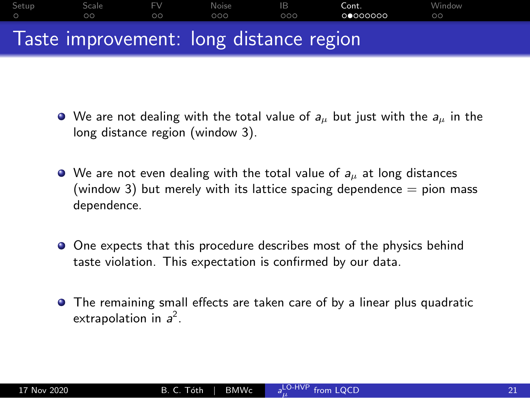## [Setup](#page-2-0) [Scale](#page-4-0) [FV](#page-7-0) [Noise](#page-10-0) [IB](#page-14-0) [Cont.](#page-18-0) [Window](#page-27-0) Taste improvement: long distance region

- $\bullet$  We are not dealing with the total value of  $a_{\mu}$  but just with the  $a_{\mu}$  in the long distance region (window 3).
- $\bullet$  We are not even dealing with the total value of  $a_{\mu}$  at long distances (window 3) but merely with its lattice spacing dependence  $=$  pion mass dependence.
- O One expects that this procedure describes most of the physics behind taste violation. This expectation is confirmed by our data.
- The remaining small effects are taken care of by a linear plus quadratic extrapolation in  $a^2$ .

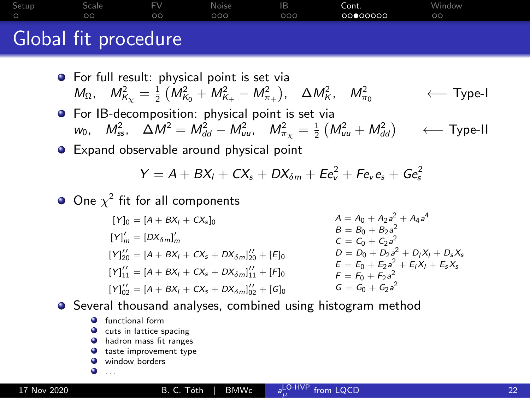## [Setup](#page-2-0) [Scale](#page-4-0) [FV](#page-7-0) [Noise](#page-10-0) [IB](#page-14-0) [Cont.](#page-18-0) [Window](#page-27-0) Global fit procedure

- **•** For full result: physical point is set via  $M_{\Omega}$ ,  $M_{K_{\chi}}^2 = \frac{1}{2} \left( M_{K_0}^2 + M_{K_+}^2 - M_{\pi_+}^2 \right)$ ,  $\Delta M_K^2$ ,  $M_{\pi}^2$ ← Type-I
- **•** For IB-decomposition: physical point is set via  $w_0$ ,  $M_{ss}^2$ ,  $\Delta M^2 = M_{dd}^2 - M_{uu}^2$ ,  $M_{\pi_\chi}^2 = \frac{1}{2} (M_{uu}^2 + M_{dd}^2)$ ← Type-II

**•** Expand observable around physical point

$$
Y = A + BX_I + CX_s + DX_{\delta m} + Ee_v^2 + Fe_v e_s + Ge_s^2
$$

One  $\chi^2$  fit for all components

 $[Y]_0 = [A + BX_t + CX_s]_0$  $[Y]_m' = [DX_{\delta m}]_m'$  $[Y]_{20}^{\prime\prime}=[A+BX_{1}+CX_{s}+DX_{\delta m}]_{20}^{\prime\prime}+[E]_{0}$  $[Y]_{11}' = [A + BX_I + CX_s + DX_{\delta m}]_{11}' + [F]_0$  $[Y]_{02}^{\prime\prime}=[A+BX_{1}+CX_{s}+DX_{\delta m}]_{02}^{\prime\prime}+ [G]_{0}$  $A = A_0 + A_2 a^2 + A_4 a^4$  $B = B_0 + B_2 a^2$  $C = C_0 + C_2 a^2$  $D = D_0 + D_2 a^2 + D_I X_I + D_s X_s$  $E = E_0 + E_2 a_2^2 + E_1 X_1 + E_5 X_5$  $F = F_0 + F_2 a^2$  $G = G_0 + G_2 a^2$ 

 $a_{\mu}^{\text{LO-HVP}}$ 

**•** Several thousand analyses, combined using histogram method

- $\bullet$  functional form
- **Q** cuts in lattice spacing
- **•** hadron mass fit ranges
- $\bullet$  taste improvement type
- window borders

۰ . . .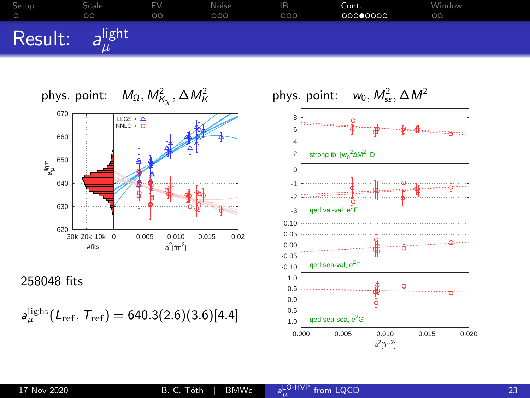



258048 fits

 $a_\mu^{\rm light}(L_{\rm ref},\,T_{\rm ref}) = 640.3(2.6)(3.6)[4.4]$ 

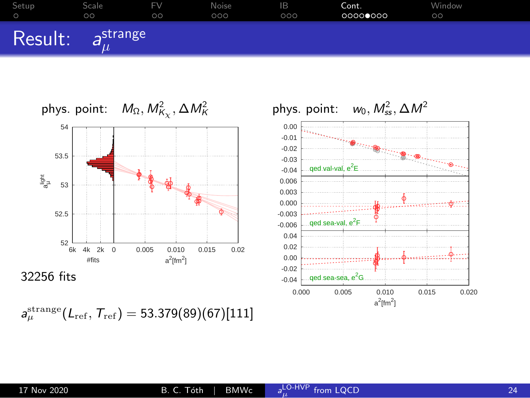



 $\bm{s}_{\mu}^{\mathrm{strange}}(L_{\mathrm{ref}},\, T_{\mathrm{ref}}) = 53.379(89)(67)[111]$ 

 $a^2$ [fm<sup>2</sup>]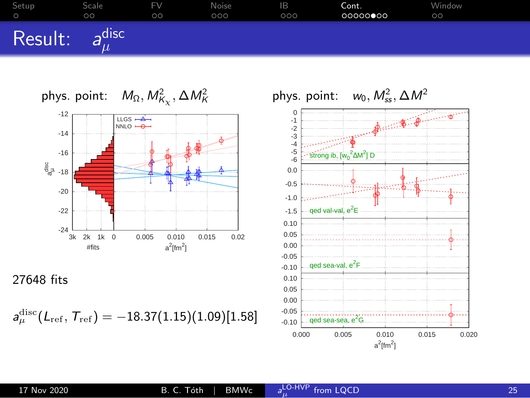



27648 fits

 $\bm{\mathsf{a}}^\mathrm{disc}_\mu(\mathcal{L}_\mathrm{ref},\, \mathcal{T}_\mathrm{ref}) = -18.37(1.15)(1.09)[1.58]$ 

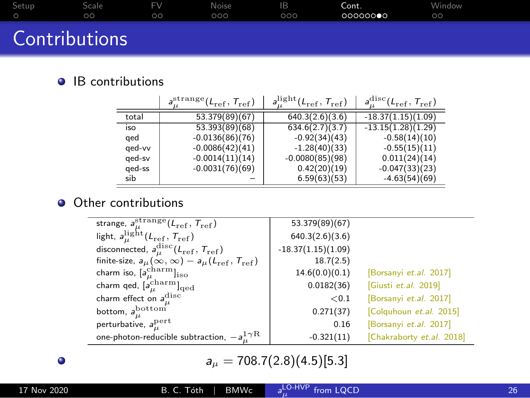| Setup         | Scale<br>ററ | FV<br>ററ | Noise<br>റററ | IB.<br>000 | Cont.<br>00000000 | Window<br>$\circ$ |  |
|---------------|-------------|----------|--------------|------------|-------------------|-------------------|--|
| Contributions |             |          |              |            |                   |                   |  |

#### $\bullet$  IB contributions

|        | $a^{\rm strange}_{\shortparallel} (L_{\rm ref},\, T_{\rm ref})$ | $a_{\mu}^{\rm light}(L_{\rm ref},T_{\rm ref})$ | $a_{\mu}^{\text{disc}}(L_{\text{ref}}, T_{\text{ref}})$ |
|--------|-----------------------------------------------------------------|------------------------------------------------|---------------------------------------------------------|
| total  | 53.379(89)(67)                                                  | 640.3(2.6)(3.6)                                | $-18.37(1.15)(1.09)$                                    |
| iso    | 53.393(89)(68)                                                  | 634.6(2.7)(3.7)                                | $-13.15(1.28)(1.29)$                                    |
| aed    | $-0.0136(86)(76)$                                               | $-0.92(34)(43)$                                | $-0.58(14)(10)$                                         |
| qed-vv | $-0.0086(42)(41)$                                               | $-1.28(40)(33)$                                | $-0.55(15)(11)$                                         |
| aed-sv | $-0.0014(11)(14)$                                               | $-0.0080(85)(98)$                              | 0.011(24)(14)                                           |
| ged-ss | $-0.0031(76)(69)$                                               | 0.42(20)(19)                                   | $-0.047(33)(23)$                                        |
| sib    |                                                                 | 6.59(63)(53)                                   | $-4.63(54)(69)$                                         |

#### • Other contributions

|                                                                                                                                        | 53.379(89)(67)       |                           |
|----------------------------------------------------------------------------------------------------------------------------------------|----------------------|---------------------------|
| strange, $a_{\mu}^{\text{strange}}(L_{\text{ref}}, T_{\text{ref}})$<br>light, $a_{\mu}^{\text{light}}(L_{\text{ref}}, T_{\text{ref}})$ | 640.3(2.6)(3.6)      |                           |
| disconnected, $a_{\mu}^{\rm disc}(L_{\rm ref},T_{\rm ref})$                                                                            | $-18.37(1.15)(1.09)$ |                           |
| finite-size, $a_{\mu}(\infty, \infty) - a_{\mu}(L_{\text{ref}}, T_{\text{ref}})$                                                       | 18.7(2.5)            |                           |
| charm iso, $[a_{\mu}^{\text{charm}}]_{\text{iso}}$                                                                                     | 14.6(0.0)(0.1)       | [Borsanyi et.al. 2017]    |
| charm qed, $[a_{\mu}^{\text{charm}}]_{\text{qed}}$                                                                                     | 0.0182(36)           | [Giusti et.al. 2019]      |
| charm effect on $a_{\mu}^{\rm disc}$                                                                                                   | ${}_{<0.1}$          | [Borsanyi et.al. 2017]    |
| bottom, $a_{\mu}^{\text{bottom}}$                                                                                                      | 0.271(37)            | [Colquhoun et.al. 2015]   |
| perturbative, $a_{\mu}^{\text{pert}}$                                                                                                  | 0.16                 | [Borsanyi et.al. 2017]    |
| one-photon-reducible subtraction, $-a_n^1{}^{\gamma}\text{R}$                                                                          | $-0.321(11)$         | [Chakraborty et.al. 2018] |

 $a_{\mu} = 708.7(2.8)(4.5)[5.3]$ 

 $\bullet$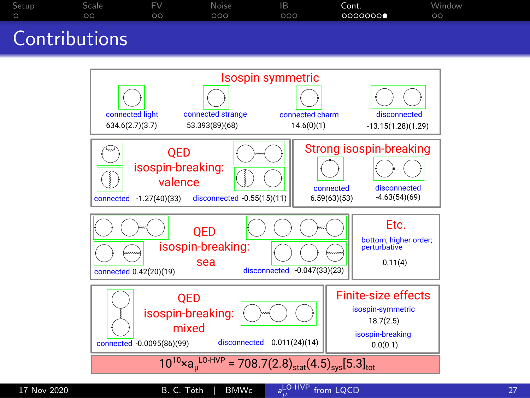|        | $\circ$ | $\circ$ | 000 | 000 | 00000000 | $\circ$ |  |
|--------|---------|---------|-----|-----|----------|---------|--|
| $\sim$ |         |         |     |     |          |         |  |

### Contributions

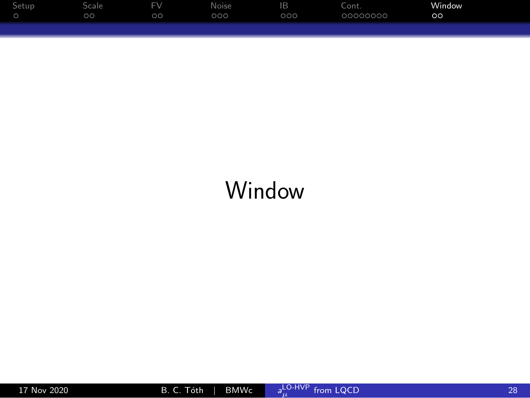<span id="page-27-0"></span>

| Setup | Scale   | Fν | Noise | IB   | Cont.    | Window   |
|-------|---------|----|-------|------|----------|----------|
|       | $\circ$ | oσ | 000   | DOO' | 00000000 | $\infty$ |
|       |         |    |       |      |          |          |

## Window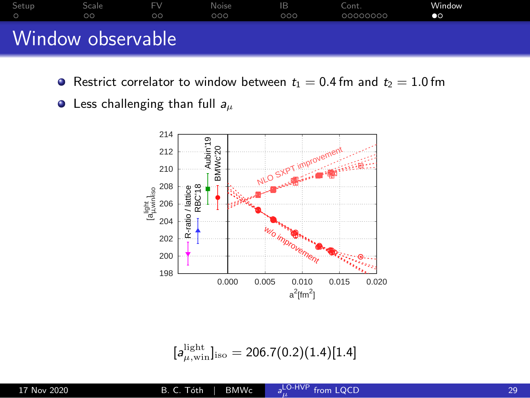

- **•** Restrict correlator to window between  $t_1 = 0.4$  fm and  $t_2 = 1.0$  fm
- $\bullet$  Less challenging than full  $a_{\mu}$



$$
[a_{\mu,\text{win}}^{\text{light}}]_{\text{iso}} = 206.7(0.2)(1.4)[1.4]
$$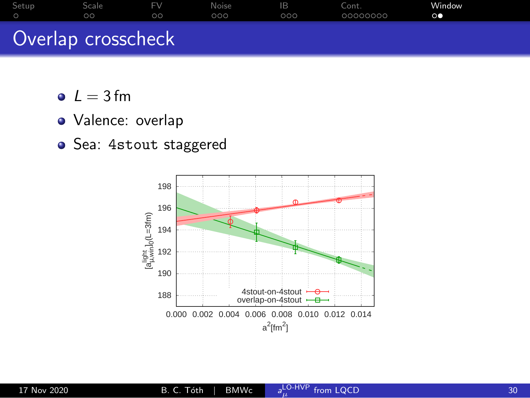| Setup | Scale              | FV. | <b>Noise</b> | 1В  | Cont.    | Window |
|-------|--------------------|-----|--------------|-----|----------|--------|
|       | ററ                 | ററ  | 000          | 000 | 00000000 | ЮO     |
|       | Overlap crosscheck |     |              |     |          |        |

- $L = 3 fm$
- · Valence: overlap
- Sea: 4stout staggered